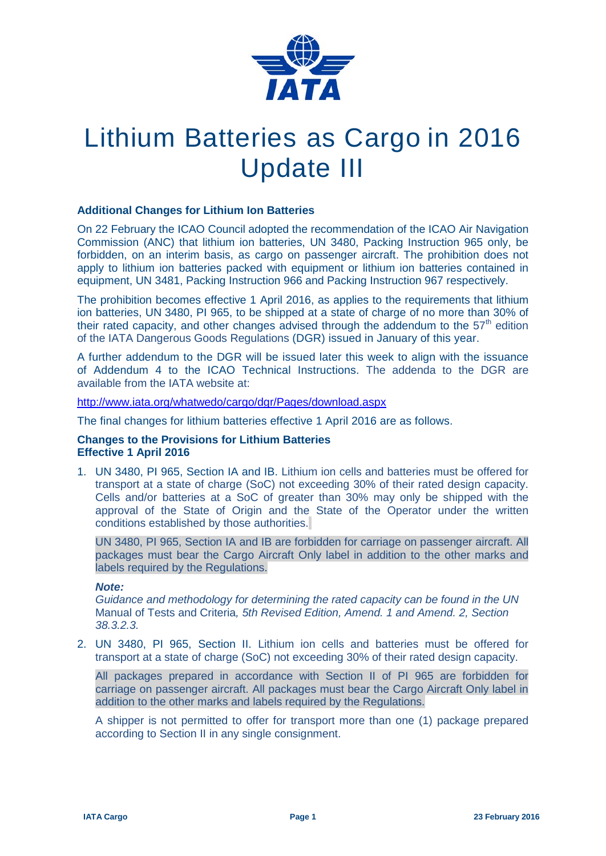

## Lithium Batteries as Cargo in 2016 Update III

## **Additional Changes for Lithium Ion Batteries**

On 22 February the ICAO Council adopted the recommendation of the ICAO Air Navigation Commission (ANC) that lithium ion batteries, UN 3480, Packing Instruction 965 only, be forbidden, on an interim basis, as cargo on passenger aircraft. The prohibition does not apply to lithium ion batteries packed with equipment or lithium ion batteries contained in equipment, UN 3481, Packing Instruction 966 and Packing Instruction 967 respectively.

The prohibition becomes effective 1 April 2016, as applies to the requirements that lithium ion batteries, UN 3480, PI 965, to be shipped at a state of charge of no more than 30% of their rated capacity, and other changes advised through the addendum to the  $57<sup>th</sup>$  edition of the IATA Dangerous Goods Regulations (DGR) issued in January of this year.

A further addendum to the DGR will be issued later this week to align with the issuance of Addendum 4 to the ICAO Technical Instructions. The addenda to the DGR are available from the IATA website at:

<http://www.iata.org/whatwedo/cargo/dgr/Pages/download.aspx>

The final changes for lithium batteries effective 1 April 2016 are as follows.

## **Changes to the Provisions for Lithium Batteries Effective 1 April 2016**

1. UN 3480, PI 965, Section IA and IB. Lithium ion cells and batteries must be offered for transport at a state of charge (SoC) not exceeding 30% of their rated design capacity. Cells and/or batteries at a SoC of greater than 30% may only be shipped with the approval of the State of Origin and the State of the Operator under the written conditions established by those authorities.

UN 3480, PI 965, Section IA and IB are forbidden for carriage on passenger aircraft. All packages must bear the Cargo Aircraft Only label in addition to the other marks and labels required by the Regulations.

## *Note:*

*Guidance and methodology for determining the rated capacity can be found in the UN*  Manual of Tests and Criteria*, 5th Revised Edition, Amend. 1 and Amend. 2, Section 38.3.2.3.*

2. UN 3480, PI 965, Section II. Lithium ion cells and batteries must be offered for transport at a state of charge (SoC) not exceeding 30% of their rated design capacity.

All packages prepared in accordance with Section II of PI 965 are forbidden for carriage on passenger aircraft. All packages must bear the Cargo Aircraft Only label in addition to the other marks and labels required by the Regulations.

A shipper is not permitted to offer for transport more than one (1) package prepared according to Section II in any single consignment.